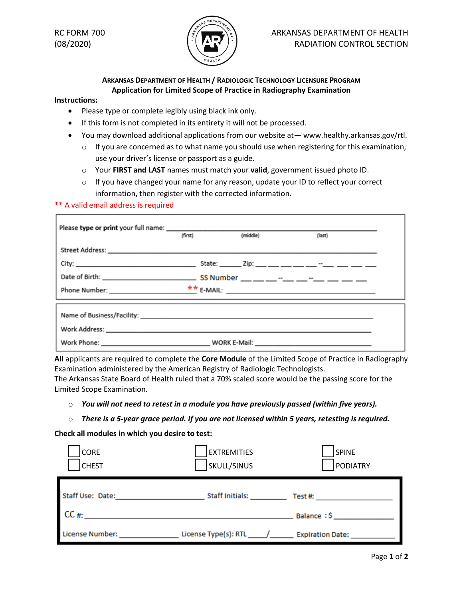

## RC FORM 700  $\left(\frac{1}{2}\right)$  ARKANSAS DEPARTMENT OF HEALTH  $(08/2020)$   $($   $($   $\sqrt{2}$   $)$   $)$  RADIATION CONTROL SECTION

## **ARKANSAS DEPARTMENT OF HEALTH / RADIOLOGIC TECHNOLOGY LICENSURE PROGRAM Application for Limited Scope of Practice in Radiography Examination**

## **Instructions:**

- Please type or complete legibly using black ink only.
- If this form is not completed in its entirety it will not be processed.
- You may download additional applications from our website at— www.healthy.arkansas.gov/rtl.
	- $\circ$  If you are concerned as to what name you should use when registering for this examination, use your driver's license or passport as a guide.
	- o Your **FIRST and LAST** names must match your **valid**, government issued photo ID.
	- $\circ$  If you have changed your name for any reason, update your ID to reflect your correct information, then register with the corrected information.

## \*\* A valid email address is required

| (first) | (middle) | (last) |  |  |
|---------|----------|--------|--|--|
|         |          |        |  |  |
|         |          |        |  |  |
|         |          |        |  |  |
|         |          |        |  |  |
|         |          |        |  |  |
|         |          |        |  |  |
|         |          |        |  |  |

**All** applicants are required to complete the **Core Module** of the Limited Scope of Practice in Radiography Examination administered by the American Registry of Radiologic Technologists.

The Arkansas State Board of Health ruled that a 70% scaled score would be the passing score for the Limited Scope Examination.

- o *You will not need to retest in a module you have previously passed (within five years).*
- o *There is a 5-year grace period. If you are not licensed within 5 years, retesting is required.*

**Check all modules in which you desire to test:**

| CORE<br><b>CHEST</b>   | <b>EXTREMITIES</b><br>SKULL/SINUS | <b>SPINE</b><br><b>PODIATRY</b> |
|------------------------|-----------------------------------|---------------------------------|
| Staff Use: Date:       | <b>Staff Initials:</b>            | Test #:                         |
| CC#                    |                                   | Balance: \$                     |
| <b>License Number:</b> | License Type(s): RTL              | <b>Expiration Date:</b>         |